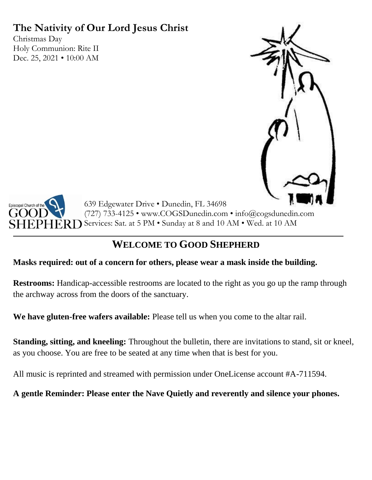# **The Nativity of Our Lord Jesus Christ**

Christmas Day Holy Communion: Rite II Dec. 25, 2021 • 10:00 AM





639 Edgewater Drive • Dunedin, FL 34698 (727) 733-4125 • www.COGSDunedin.com • info@cogsdunedin.com Rn Services: Sat. at 5 PM • Sunday at 8 and 10 AM • Wed. at 10 AM

# **WELCOME TO GOOD SHEPHERD**

# **Masks required: out of a concern for others, please wear a mask inside the building.**

**Restrooms:** Handicap-accessible restrooms are located to the right as you go up the ramp through the archway across from the doors of the sanctuary.

**We have gluten-free wafers available:** Please tell us when you come to the altar rail.

**Standing, sitting, and kneeling:** Throughout the bulletin, there are invitations to stand, sit or kneel, as you choose. You are free to be seated at any time when that is best for you.

All music is reprinted and streamed with permission under OneLicense account #A-711594.

**A gentle Reminder: Please enter the Nave Quietly and reverently and silence your phones.**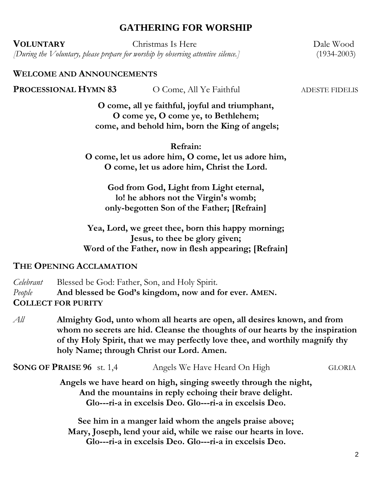# **GATHERING FOR WORSHIP**

**VOLUNTARY** Christmas Is Here Dale Wood

*[During the Voluntary, please prepare for worship by observing attentive silence.]* (1934-2003)

**WELCOME AND ANNOUNCEMENTS**

**PROCESSIONAL HYMN 83** O Come, All Ye Faithful ADESTE FIDELIS

**O come, all ye faithful, joyful and triumphant, O come ye, O come ye, to Bethlehem; come, and behold him, born the King of angels;**

#### **Refrain:**

**O come, let us adore him, O come, let us adore him, O come, let us adore him, Christ the Lord.**

**God from God, Light from Light eternal, lo! he abhors not the Virgin's womb; only-begotten Son of the Father; [Refrain]**

**Yea, Lord, we greet thee, born this happy morning; Jesus, to thee be glory given; Word of the Father, now in flesh appearing; [Refrain]**

#### **THE OPENING ACCLAMATION**

*Celebrant* Blessed be God: Father, Son, and Holy Spirit. *People* **And blessed be God's kingdom, now and for ever. AMEN. COLLECT FOR PURITY**

*All* **Almighty God, unto whom all hearts are open, all desires known, and from whom no secrets are hid. Cleanse the thoughts of our hearts by the inspiration of thy Holy Spirit, that we may perfectly love thee, and worthily magnify thy holy Name; through Christ our Lord. Amen.**

**SONG OF PRAISE 96** st. 1,4Angels We Have Heard On High GLORIA

**Angels we have heard on high, singing sweetly through the night, And the mountains in reply echoing their brave delight. Glo---ri-a in excelsis Deo. Glo---ri-a in excelsis Deo.**

**See him in a manger laid whom the angels praise above; Mary, Joseph, lend your aid, while we raise our hearts in love. Glo---ri-a in excelsis Deo. Glo---ri-a in excelsis Deo.**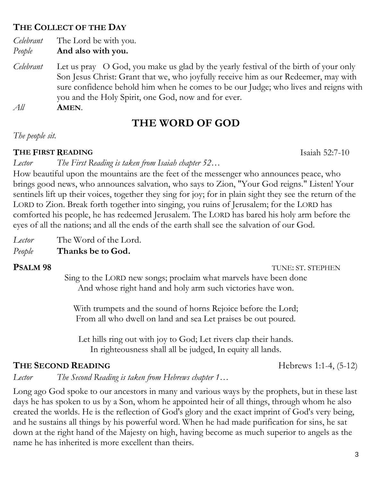# **THE COLLECT OF THE DAY**

*Celebrant* The Lord be with you. *People* **And also with you.**

*Celebrant* Let us pray O God, you make us glad by the yearly festival of the birth of your only Son Jesus Christ: Grant that we, who joyfully receive him as our Redeemer, may with sure confidence behold him when he comes to be our Judge; who lives and reigns with you and the Holy Spirit, one God, now and for ever.

*All* **AMEN**.

# **THE WORD OF GOD**

*The people sit.*

## **THE FIRST READING** Isaiah 52:7-10

*Lector The First Reading is taken from Isaiah chapter 52…*

How beautiful upon the mountains are the feet of the messenger who announces peace, who brings good news, who announces salvation, who says to Zion, "Your God reigns." Listen! Your sentinels lift up their voices, together they sing for joy; for in plain sight they see the return of the LORD to Zion. Break forth together into singing, you ruins of Jerusalem; for the LORD has comforted his people, he has redeemed Jerusalem. The LORD has bared his holy arm before the eyes of all the nations; and all the ends of the earth shall see the salvation of our God.

*Lector* The Word of the Lord.

*People* **Thanks be to God.**

#### **PSALM 98** TUNE: ST. STEPHEN

Sing to the LORD new songs; proclaim what marvels have been done And whose right hand and holy arm such victories have won.

With trumpets and the sound of horns Rejoice before the Lord; From all who dwell on land and sea Let praises be out poured.

Let hills ring out with joy to God; Let rivers clap their hands. In righteousness shall all be judged, In equity all lands.

# **THE SECOND READING** Hebrews 1:1-4, (5-12)

*Lector The Second Reading is taken from Hebrews chapter 1…*

Long ago God spoke to our ancestors in many and various ways by the prophets, but in these last days he has spoken to us by a Son, whom he appointed heir of all things, through whom he also created the worlds. He is the reflection of God's glory and the exact imprint of God's very being, and he sustains all things by his powerful word. When he had made purification for sins, he sat down at the right hand of the Majesty on high, having become as much superior to angels as the name he has inherited is more excellent than theirs.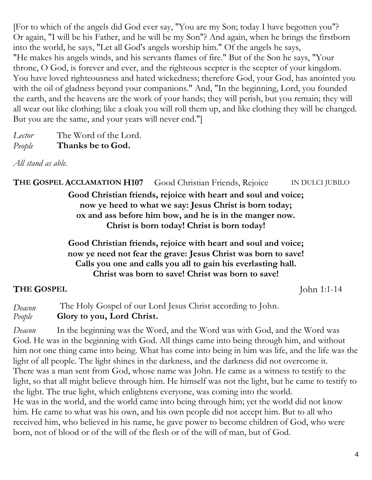[For to which of the angels did God ever say, "You are my Son; today I have begotten you"? Or again, "I will be his Father, and he will be my Son"? And again, when he brings the firstborn into the world, he says, "Let all God's angels worship him." Of the angels he says, "He makes his angels winds, and his servants flames of fire." But of the Son he says, "Your throne, O God, is forever and ever, and the righteous scepter is the scepter of your kingdom. You have loved righteousness and hated wickedness; therefore God, your God, has anointed you with the oil of gladness beyond your companions." And, "In the beginning, Lord, you founded the earth, and the heavens are the work of your hands; they will perish, but you remain; they will all wear out like clothing; like a cloak you will roll them up, and like clothing they will be changed. But you are the same, and your years will never end."]

*Lector* The Word of the Lord. *People* **Thanks be to God.**

*All stand as able.*

**THE GOSPEL ACCLAMATION H107** Good Christian Friends, Rejoice IN DULCI JUBILO

**Good Christian friends, rejoice with heart and soul and voice; now ye heed to what we say: Jesus Christ is born today; ox and ass before him bow, and he is in the manger now. Christ is born today! Christ is born today!**

**Good Christian friends, rejoice with heart and soul and voice; now ye need not fear the grave: Jesus Christ was born to save! Calls you one and calls you all to gain his everlasting hall. Christ was born to save! Christ was born to save!**

# **THE GOSPEL** John 1:1-14

*Deacon* The Holy Gospel of our Lord Jesus Christ according to John. *People* **Glory to you, Lord Christ.**

*Deacon* In the beginning was the Word, and the Word was with God, and the Word was God. He was in the beginning with God. All things came into being through him, and without him not one thing came into being. What has come into being in him was life, and the life was the light of all people. The light shines in the darkness, and the darkness did not overcome it. There was a man sent from God, whose name was John. He came as a witness to testify to the light, so that all might believe through him. He himself was not the light, but he came to testify to the light. The true light, which enlightens everyone, was coming into the world. He was in the world, and the world came into being through him; yet the world did not know him. He came to what was his own, and his own people did not accept him. But to all who received him, who believed in his name, he gave power to become children of God, who were born, not of blood or of the will of the flesh or of the will of man, but of God.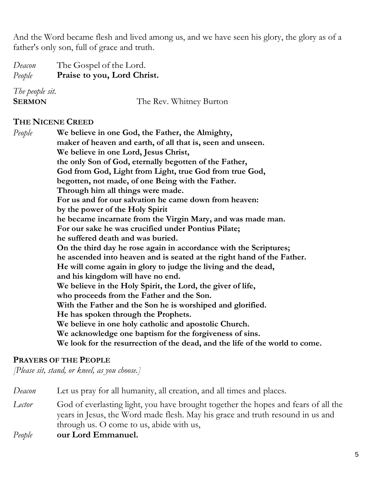And the Word became flesh and lived among us, and we have seen his glory, the glory as of a father's only son, full of grace and truth.

| Deacon          | The Gospel of the Lord.     |
|-----------------|-----------------------------|
| People          | Praise to you, Lord Christ. |
| The people sit. |                             |
| <b>SERMON</b>   | The Rev. Whitney Burton     |
|                 |                             |

### **THE NICENE CREED**

*People* **We believe in one God, the Father, the Almighty, maker of heaven and earth, of all that is, seen and unseen. We believe in one Lord, Jesus Christ, the only Son of God, eternally begotten of the Father, God from God, Light from Light, true God from true God, begotten, not made, of one Being with the Father. Through him all things were made. For us and for our salvation he came down from heaven: by the power of the Holy Spirit he became incarnate from the Virgin Mary, and was made man. For our sake he was crucified under Pontius Pilate; he suffered death and was buried. On the third day he rose again in accordance with the Scriptures; he ascended into heaven and is seated at the right hand of the Father. He will come again in glory to judge the living and the dead, and his kingdom will have no end. We believe in the Holy Spirit, the Lord, the giver of life, who proceeds from the Father and the Son. With the Father and the Son he is worshiped and glorified. He has spoken through the Prophets. We believe in one holy catholic and apostolic Church. We acknowledge one baptism for the forgiveness of sins. We look for the resurrection of the dead, and the life of the world to come.**

#### **PRAYERS OF THE PEOPLE**

*[Please sit, stand, or kneel, as you choose.]*

*Deacon* Let us pray for all humanity, all creation, and all times and places. *Lector* God of everlasting light, you have brought together the hopes and fears of all the years in Jesus, the Word made flesh. May his grace and truth resound in us and through us. O come to us, abide with us, *People* **our Lord Emmanuel.**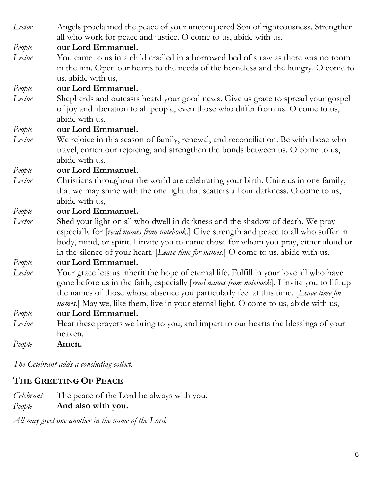| Lector | Angels proclaimed the peace of your unconquered Son of righteousness. Strengthen<br>all who work for peace and justice. O come to us, abide with us,                                                                                                                                                                                                                         |  |
|--------|------------------------------------------------------------------------------------------------------------------------------------------------------------------------------------------------------------------------------------------------------------------------------------------------------------------------------------------------------------------------------|--|
| People | our Lord Emmanuel.                                                                                                                                                                                                                                                                                                                                                           |  |
| Lector | You came to us in a child cradled in a borrowed bed of straw as there was no room<br>in the inn. Open our hearts to the needs of the homeless and the hungry. O come to<br>us, abide with us,                                                                                                                                                                                |  |
| People | our Lord Emmanuel.                                                                                                                                                                                                                                                                                                                                                           |  |
| Lector | Shepherds and outcasts heard your good news. Give us grace to spread your gospel<br>of joy and liberation to all people, even those who differ from us. O come to us,<br>abide with us,                                                                                                                                                                                      |  |
| People | our Lord Emmanuel.                                                                                                                                                                                                                                                                                                                                                           |  |
| Lector | We rejoice in this season of family, renewal, and reconciliation. Be with those who<br>travel, enrich our rejoicing, and strengthen the bonds between us. O come to us,<br>abide with us,                                                                                                                                                                                    |  |
| People | our Lord Emmanuel.                                                                                                                                                                                                                                                                                                                                                           |  |
| Lector | Christians throughout the world are celebrating your birth. Unite us in one family,<br>that we may shine with the one light that scatters all our darkness. O come to us,<br>abide with us,                                                                                                                                                                                  |  |
| People | our Lord Emmanuel.                                                                                                                                                                                                                                                                                                                                                           |  |
| Lector | Shed your light on all who dwell in darkness and the shadow of death. We pray<br>especially for [read names from notebook.] Give strength and peace to all who suffer in<br>body, mind, or spirit. I invite you to name those for whom you pray, either aloud or<br>in the silence of your heart. [Leave time for names.] O come to us, abide with us,                       |  |
| People | our Lord Emmanuel.                                                                                                                                                                                                                                                                                                                                                           |  |
| Lector | Your grace lets us inherit the hope of eternal life. Fulfill in your love all who have<br>gone before us in the faith, especially [read names from notebook]. I invite you to lift up<br>the names of those whose absence you particularly feel at this time. [Leave time for<br><i>names.</i> ] May we, like them, live in your eternal light. O come to us, abide with us, |  |
| People | our Lord Emmanuel.                                                                                                                                                                                                                                                                                                                                                           |  |
| Lector | Hear these prayers we bring to you, and impart to our hearts the blessings of your<br>heaven.                                                                                                                                                                                                                                                                                |  |

*People* **Amen.**

*The Celebrant adds a concluding collect.* 

# **THE GREETING OF PEACE**

|        | <i>Celebrant</i> The peace of the Lord be always with you. |
|--------|------------------------------------------------------------|
| People | And also with you.                                         |

*All may greet one another in the name of the Lord.*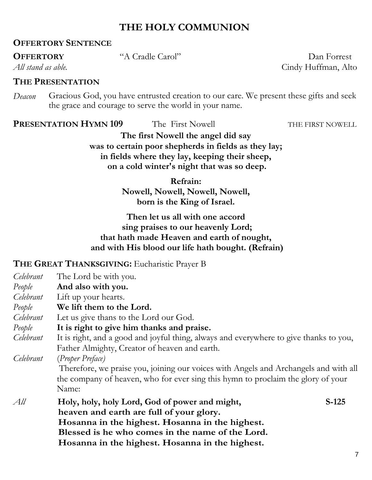# **THE HOLY COMMUNION**

# **OFFERTORY SENTENCE**

# **THE PRESENTATION**

*Deacon* Gracious God, you have entrusted creation to our care. We present these gifts and seek the grace and courage to serve the world in your name.

### **PRESENTATION HYMN 109** The First Nowell THE FIRST NOWELL

**The first Nowell the angel did say was to certain poor shepherds in fields as they lay; in fields where they lay, keeping their sheep, on a cold winter's night that was so deep.**

> **Refrain: Nowell, Nowell, Nowell, Nowell, born is the King of Israel.**

## **Then let us all with one accord sing praises to our heavenly Lord; that hath made Heaven and earth of nought, and with His blood our life hath bought. (Refrain)**

# **THE GREAT THANKSGIVING:** Eucharistic Prayer B

| Celebrant | The Lord be with you.                                                                  |         |
|-----------|----------------------------------------------------------------------------------------|---------|
| People    | And also with you.                                                                     |         |
| Celebrant | Lift up your hearts.                                                                   |         |
| People    | We lift them to the Lord.                                                              |         |
| Celebrant | Let us give thans to the Lord our God.                                                 |         |
| People    | It is right to give him thanks and praise.                                             |         |
| Celebrant | It is right, and a good and joyful thing, always and everywhere to give thanks to you, |         |
|           | Father Almighty, Creator of heaven and earth.                                          |         |
| Celebrant | (Proper Preface)                                                                       |         |
|           | Therefore, we praise you, joining our voices with Angels and Archangels and with all   |         |
|           | the company of heaven, who for ever sing this hymn to proclaim the glory of your       |         |
|           | Name:                                                                                  |         |
| All       | Holy, holy, holy Lord, God of power and might,                                         | $S-125$ |
|           | heaven and earth are full of your glory.                                               |         |
|           | Hosanna in the highest. Hosanna in the highest.                                        |         |
|           | Blessed is he who comes in the name of the Lord.                                       |         |
|           | Hosanna in the highest. Hosanna in the highest.                                        |         |

**OFFERTORY** "A Cradle Carol" Dan Forrest

*All stand as able.* Cindy Huffman, Alto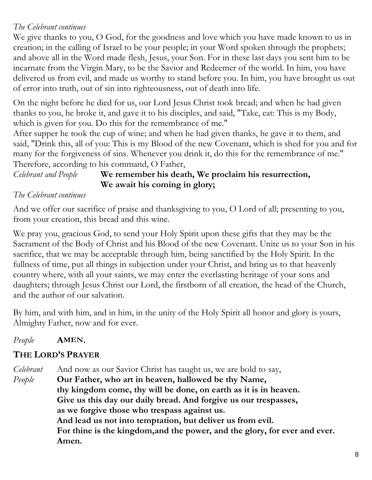# *The Celebrant continues*

We give thanks to you, O God, for the goodness and love which you have made known to us in creation; in the calling of Israel to be your people; in your Word spoken through the prophets; and above all in the Word made flesh, Jesus, your Son. For in these last days you sent him to be incarnate from the Virgin Mary, to be the Savior and Redeemer of the world. In him, you have delivered us from evil, and made us worthy to stand before you. In him, you have brought us out of error into truth, out of sin into righteousness, out of death into life.

On the night before he died for us, our Lord Jesus Christ took bread; and when he had given thanks to you, he broke it, and gave it to his disciples, and said, "Take, eat: This is my Body, which is given for you. Do this for the remembrance of me."

After supper he took the cup of wine; and when he had given thanks, he gave it to them, and said, "Drink this, all of you: This is my Blood of the new Covenant, which is shed for you and for many for the forgiveness of sins. Whenever you drink it, do this for the remembrance of me." Therefore, according to his command, O Father,

# *Celebrant and People* **We remember his death, We proclaim his resurrection, We await his coming in glory;**

## *The Celebrant continues*

And we offer our sacrifice of praise and thanksgiving to you, O Lord of all; presenting to you, from your creation, this bread and this wine.

We pray you, gracious God, to send your Holy Spirit upon these gifts that they may be the Sacrament of the Body of Christ and his Blood of the new Covenant. Unite us to your Son in his sacrifice, that we may be acceptable through him, being sanctified by the Holy Spirit. In the fullness of time, put all things in subjection under your Christ, and bring us to that heavenly country where, with all your saints, we may enter the everlasting heritage of your sons and daughters; through Jesus Christ our Lord, the firstborn of all creation, the head of the Church, and the author of our salvation.

By him, and with him, and in him, in the unity of the Holy Spirit all honor and glory is yours, Almighty Father, now and for ever.

# *People* **AMEN.**

# **THE LORD'S PRAYER**

*Celebrant* And now as our Savior Christ has taught us, we are bold to say, *People* **Our Father, who art in heaven, hallowed be thy Name, thy kingdom come, thy will be done, on earth as it is in heaven. Give us this day our daily bread. And forgive us our trespasses, as we forgive those who trespass against us. And lead us not into temptation, but deliver us from evil. For thine is the kingdom,and the power, and the glory, for ever and ever. Amen.**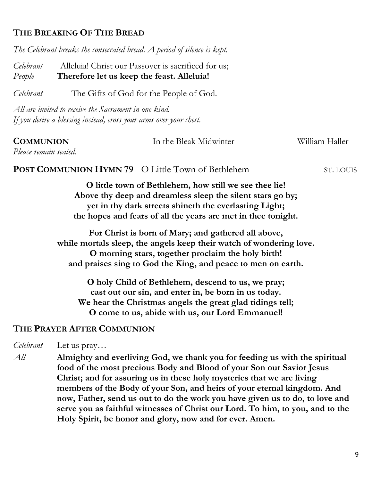# **THE BREAKING OF THE BREAD**

*The Celebrant breaks the consecrated bread. A period of silence is kept.*

*Celebrant* Alleluia! Christ our Passover is sacrificed for us; *People* **Therefore let us keep the feast. Alleluia!**

*Celebrant* The Gifts of God for the People of God.

*All are invited to receive the Sacrament in one kind. If you desire a blessing instead, cross your arms over your chest.*

| <b>COMMUNION</b>                                         | In the Bleak Midwinter | William Haller |
|----------------------------------------------------------|------------------------|----------------|
| Please remain seated.                                    |                        |                |
| <b>POST COMMUNION HYMN 79</b> O Little Town of Bethlehem |                        | ST. LOUIS      |

**O little town of Bethlehem, how still we see thee lie! Above thy deep and dreamless sleep the silent stars go by; yet in thy dark streets shineth the everlasting Light; the hopes and fears of all the years are met in thee tonight.**

**For Christ is born of Mary; and gathered all above, while mortals sleep, the angels keep their watch of wondering love. O morning stars, together proclaim the holy birth! and praises sing to God the King, and peace to men on earth.**

**O holy Child of Bethlehem, descend to us, we pray; cast out our sin, and enter in, be born in us today. We hear the Christmas angels the great glad tidings tell; O come to us, abide with us, our Lord Emmanuel!**

# **THE PRAYER AFTER COMMUNION**

*Celebrant* Let us pray…

*All* **Almighty and everliving God, we thank you for feeding us with the spiritual food of the most precious Body and Blood of your Son our Savior Jesus Christ; and for assuring us in these holy mysteries that we are living members of the Body of your Son, and heirs of your eternal kingdom. And now, Father, send us out to do the work you have given us to do, to love and serve you as faithful witnesses of Christ our Lord. To him, to you, and to the Holy Spirit, be honor and glory, now and for ever. Amen.**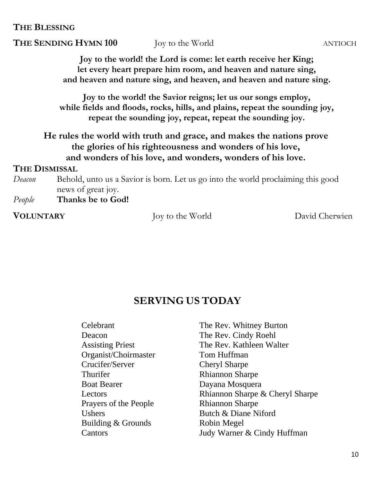**THE BLESSING**

# **THE SENDING HYMN 100** Joy to the World ANTIOCH

**Joy to the world! the Lord is come: let earth receive her King; let every heart prepare him room, and heaven and nature sing, and heaven and nature sing, and heaven, and heaven and nature sing.**

**Joy to the world! the Savior reigns; let us our songs employ, while fields and floods, rocks, hills, and plains, repeat the sounding joy, repeat the sounding joy, repeat, repeat the sounding joy.**

**He rules the world with truth and grace, and makes the nations prove the glories of his righteousness and wonders of his love, and wonders of his love, and wonders, wonders of his love.**

## **THE DISMISSAL**

*Deacon* Behold, unto us a Savior is born. Let us go into the world proclaiming this good news of great joy.

*People* **Thanks be to God!**

**VOLUNTARY** Joy to the World David Cherwien

# **SERVING US TODAY**

| Celebrant               |  |  |
|-------------------------|--|--|
| Deacon                  |  |  |
| <b>Assisting Priest</b> |  |  |
| Organist/Choirmaster    |  |  |
| Crucifer/Server         |  |  |
| Thurifer                |  |  |
| <b>Boat Bearer</b>      |  |  |
| Lectors                 |  |  |
| Prayers of the People   |  |  |
| <b>Ushers</b>           |  |  |
| Building & Grounds      |  |  |
| Cantors                 |  |  |

The Rev. Whitney Burton The Rev. Cindy Roehl The Rev. Kathleen Walter Tom Huffman Cheryl Sharpe Rhiannon Sharpe Dayana Mosquera Rhiannon Sharpe & Cheryl Sharpe Rhiannon Sharpe Butch & Diane Niford Robin Megel Judy Warner & Cindy Huffman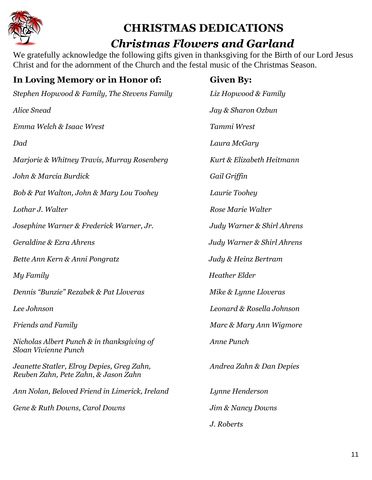

# **CHRISTMAS DEDICATIONS**

# *Christmas Flowers and Garland*

We gratefully acknowledge the following gifts given in thanksgiving for the Birth of our Lord Jesus Christ and for the adornment of the Church and the festal music of the Christmas Season.

| In Loving Memory or in Honor of:                                                   | <b>Given By:</b>           |
|------------------------------------------------------------------------------------|----------------------------|
| Stephen Hopwood & Family, The Stevens Family                                       | Liz Hopwood & Family       |
| <b>Alice Snead</b>                                                                 | Jay & Sharon Ozbun         |
| Emma Welch & Isaac Wrest                                                           | Tammi Wrest                |
| Dad                                                                                | Laura McGary               |
| Marjorie & Whitney Travis, Murray Rosenberg                                        | Kurt & Elizabeth Heitmann  |
| John & Marcia Burdick                                                              | Gail Griffin               |
| Bob & Pat Walton, John & Mary Lou Toohey                                           | Laurie Toohey              |
| Lothar J. Walter                                                                   | Rose Marie Walter          |
| Josephine Warner & Frederick Warner, Jr.                                           | Judy Warner & Shirl Ahrens |
| Geraldine & Ezra Ahrens                                                            | Judy Warner & Shirl Ahrens |
| Bette Ann Kern & Anni Pongratz                                                     | Judy & Heinz Bertram       |
| My Family                                                                          | <b>Heather Elder</b>       |
| Dennis "Bunzie" Rezabek & Pat Lloveras                                             | Mike & Lynne Lloveras      |
| Lee Johnson                                                                        | Leonard & Rosella Johnson  |
| <b>Friends and Family</b>                                                          | Marc & Mary Ann Wigmore    |
| Nicholas Albert Punch & in thanksgiving of<br>Sloan Vivienne Punch                 | Anne Punch                 |
| Jeanette Statler, Elroy Depies, Greg Zahn,<br>Reuben Zahn, Pete Zahn, & Jason Zahn | Andrea Zahn & Dan Depies   |
| Ann Nolan, Beloved Friend in Limerick, Ireland                                     | Lynne Henderson            |
| Gene & Ruth Downs, Carol Downs                                                     | Jim & Nancy Downs          |
|                                                                                    | J. Roberts                 |